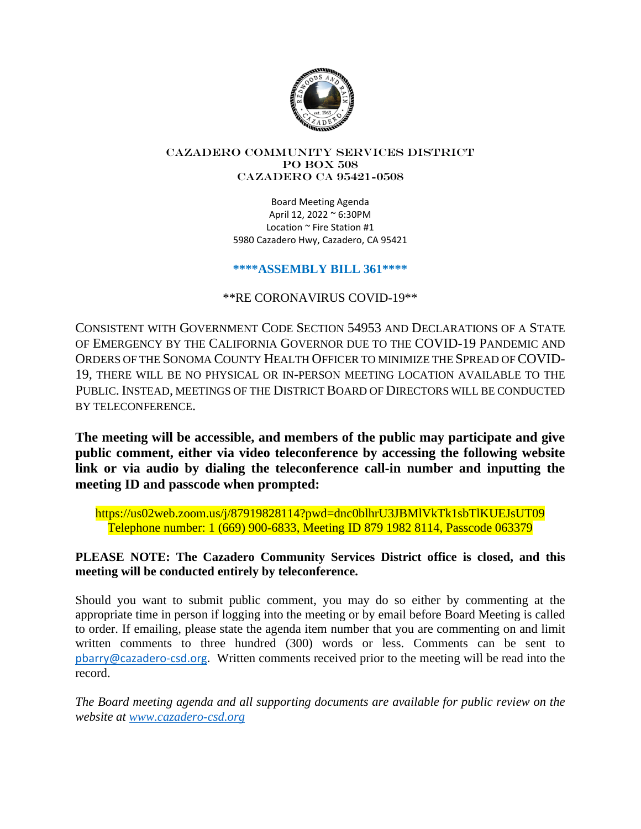

#### Cazadero Community Services District PO Box 508 CAZADERO CA 95421-0508

Board Meeting Agenda April 12, 2022 ~ 6:30PM Location ~ Fire Station #1 5980 Cazadero Hwy, Cazadero, CA 95421

## **\*\*\*\*ASSEMBLY BILL 361\*\*\*\***

\*\*RE CORONAVIRUS COVID-19\*\*

CONSISTENT WITH GOVERNMENT CODE SECTION 54953 AND DECLARATIONS OF A STATE OF EMERGENCY BY THE CALIFORNIA GOVERNOR DUE TO THE COVID-19 PANDEMIC AND ORDERS OF THE SONOMA COUNTY HEALTH OFFICER TO MINIMIZE THE SPREAD OF COVID-19, THERE WILL BE NO PHYSICAL OR IN-PERSON MEETING LOCATION AVAILABLE TO THE PUBLIC. INSTEAD, MEETINGS OF THE DISTRICT BOARD OF DIRECTORS WILL BE CONDUCTED BY TELECONFERENCE.

**The meeting will be accessible, and members of the public may participate and give public comment, either via video teleconference by accessing the following website link or via audio by dialing the teleconference call-in number and inputting the meeting ID and passcode when prompted:**

https://us02web.zoom.us/j/87919828114?pwd=dnc0blhrU3JBMlVkTk1sbTlKUEJsUT09 Telephone number: 1 (669) 900-6833, Meeting ID 879 1982 8114, Passcode 063379

# **PLEASE NOTE: The Cazadero Community Services District office is closed, and this meeting will be conducted entirely by teleconference.**

Should you want to submit public comment, you may do so either by commenting at the appropriate time in person if logging into the meeting or by email before Board Meeting is called to order. If emailing, please state the agenda item number that you are commenting on and limit written comments to three hundred (300) words or less. Comments can be sent to pbarry@cazadero-csd.org. Written comments received prior to the meeting will be read into the record.

*The Board meeting agenda and all supporting documents are available for public review on the website at www.cazadero-csd.org*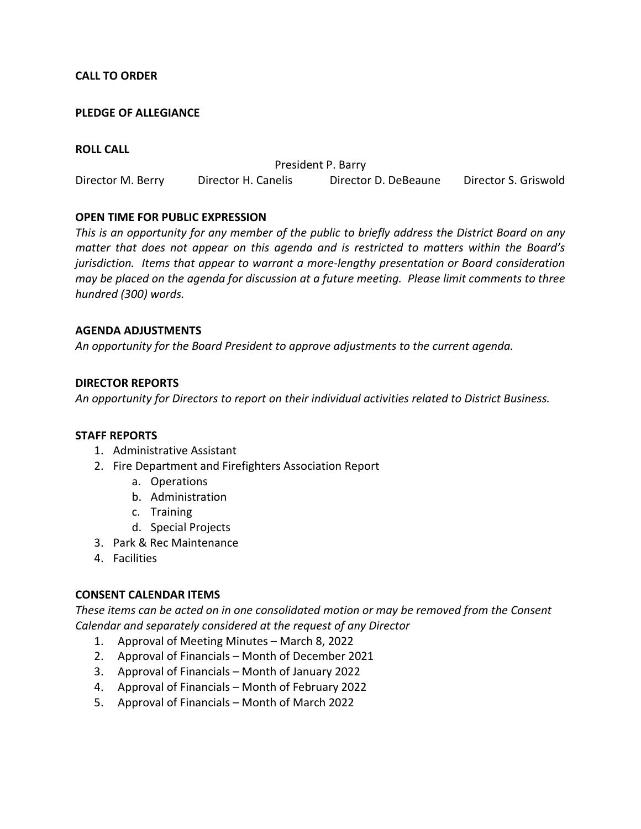### **CALL TO ORDER**

### **PLEDGE OF ALLEGIANCE**

### **ROLL CALL**

President P. Barry Director M. Berry Director H. Canelis Director D. DeBeaune Director S. Griswold

### **OPEN TIME FOR PUBLIC EXPRESSION**

*This is an opportunity for any member of the public to briefly address the District Board on any matter that does not appear on this agenda and is restricted to matters within the Board's jurisdiction. Items that appear to warrant a more-lengthy presentation or Board consideration may be placed on the agenda for discussion at a future meeting. Please limit comments to three hundred (300) words.* 

#### **AGENDA ADJUSTMENTS**

*An opportunity for the Board President to approve adjustments to the current agenda.* 

### **DIRECTOR REPORTS**

*An opportunity for Directors to report on their individual activities related to District Business.* 

#### **STAFF REPORTS**

- 1. Administrative Assistant
- 2. Fire Department and Firefighters Association Report
	- a. Operations
	- b. Administration
	- c. Training
	- d. Special Projects
- 3. Park & Rec Maintenance
- 4. Facilities

#### **CONSENT CALENDAR ITEMS**

*These items can be acted on in one consolidated motion or may be removed from the Consent Calendar and separately considered at the request of any Director* 

- 1. Approval of Meeting Minutes March 8, 2022
- 2. Approval of Financials Month of December 2021
- 3. Approval of Financials Month of January 2022
- 4. Approval of Financials Month of February 2022
- 5. Approval of Financials Month of March 2022